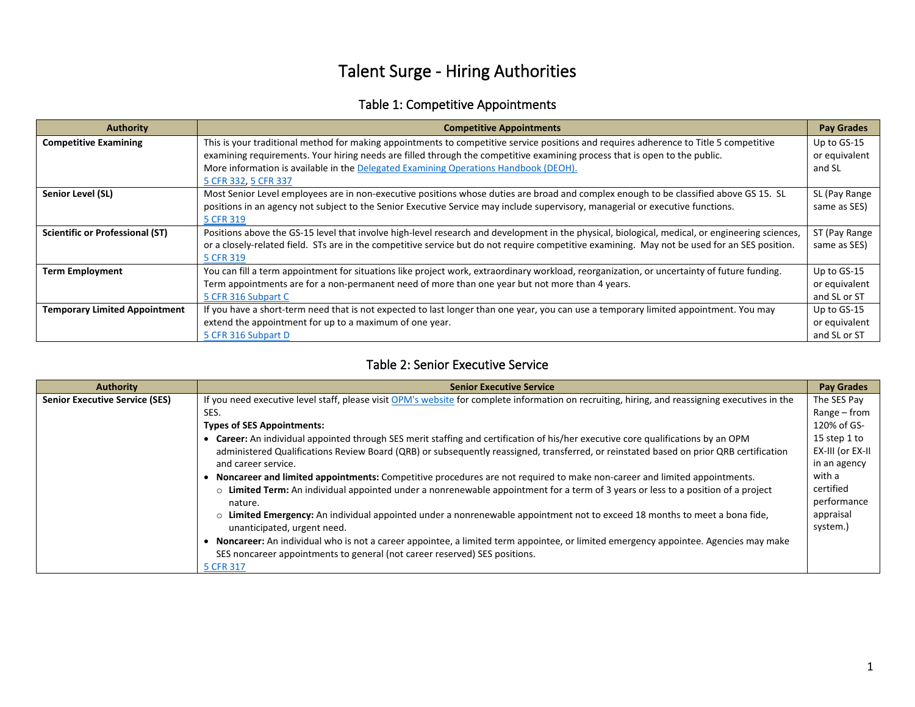# Talent Surge - Hiring Authorities

### Table 1: Competitive Appointments

| <b>Authority</b>                       | <b>Competitive Appointments</b>                                                                                                                 | <b>Pay Grades</b> |
|----------------------------------------|-------------------------------------------------------------------------------------------------------------------------------------------------|-------------------|
| <b>Competitive Examining</b>           | This is your traditional method for making appointments to competitive service positions and requires adherence to Title 5 competitive          | Up to GS-15       |
|                                        | examining requirements. Your hiring needs are filled through the competitive examining process that is open to the public.                      | or equivalent     |
|                                        | More information is available in the Delegated Examining Operations Handbook (DEOH).                                                            | and SL            |
|                                        | 5 CFR 332, 5 CFR 337                                                                                                                            |                   |
| Senior Level (SL)                      | Most Senior Level employees are in non-executive positions whose duties are broad and complex enough to be classified above GS 15. SL           | SL (Pay Range     |
|                                        | positions in an agency not subject to the Senior Executive Service may include supervisory, managerial or executive functions.                  | same as SES)      |
|                                        | 5 CFR 319                                                                                                                                       |                   |
| <b>Scientific or Professional (ST)</b> | Positions above the GS-15 level that involve high-level research and development in the physical, biological, medical, or engineering sciences, | ST (Pay Range     |
|                                        | or a closely-related field. STs are in the competitive service but do not require competitive examining. May not be used for an SES position.   | same as SES)      |
|                                        | 5 CFR 319                                                                                                                                       |                   |
| <b>Term Employment</b>                 | You can fill a term appointment for situations like project work, extraordinary workload, reorganization, or uncertainty of future funding.     | Up to GS-15       |
|                                        | Term appointments are for a non-permanent need of more than one year but not more than 4 years.                                                 | or equivalent     |
|                                        | 5 CFR 316 Subpart C                                                                                                                             | and SL or ST      |
| <b>Temporary Limited Appointment</b>   | If you have a short-term need that is not expected to last longer than one year, you can use a temporary limited appointment. You may           | Up to GS-15       |
|                                        | extend the appointment for up to a maximum of one year.                                                                                         | or equivalent     |
|                                        | 5 CFR 316 Subpart D                                                                                                                             | and SL or ST      |

#### Table 2: Senior Executive Service

| <b>Authority</b>                      | <b>Senior Executive Service</b>                                                                                                                           | <b>Pay Grades</b>        |
|---------------------------------------|-----------------------------------------------------------------------------------------------------------------------------------------------------------|--------------------------|
| <b>Senior Executive Service (SES)</b> | If you need executive level staff, please visit OPM's website for complete information on recruiting, hiring, and reassigning executives in the           | The SES Pay              |
|                                       | SES.                                                                                                                                                      | Range – from             |
|                                       | <b>Types of SES Appointments:</b>                                                                                                                         | 120% of GS-              |
|                                       | • Career: An individual appointed through SES merit staffing and certification of his/her executive core qualifications by an OPM                         | 15 step 1 to             |
|                                       | administered Qualifications Review Board (QRB) or subsequently reassigned, transferred, or reinstated based on prior QRB certification                    | EX-III (or EX-II         |
|                                       | and career service.                                                                                                                                       | in an agency             |
|                                       | Noncareer and limited appointments: Competitive procedures are not required to make non-career and limited appointments.                                  | with a                   |
|                                       | o Limited Term: An individual appointed under a nonrenewable appointment for a term of 3 years or less to a position of a project<br>nature.              | certified<br>performance |
|                                       | o Limited Emergency: An individual appointed under a nonrenewable appointment not to exceed 18 months to meet a bona fide,<br>unanticipated, urgent need. | appraisal<br>system.)    |
|                                       | Noncareer: An individual who is not a career appointee, a limited term appointee, or limited emergency appointee. Agencies may make                       |                          |
|                                       | SES noncareer appointments to general (not career reserved) SES positions.                                                                                |                          |
|                                       | 5 CFR 317                                                                                                                                                 |                          |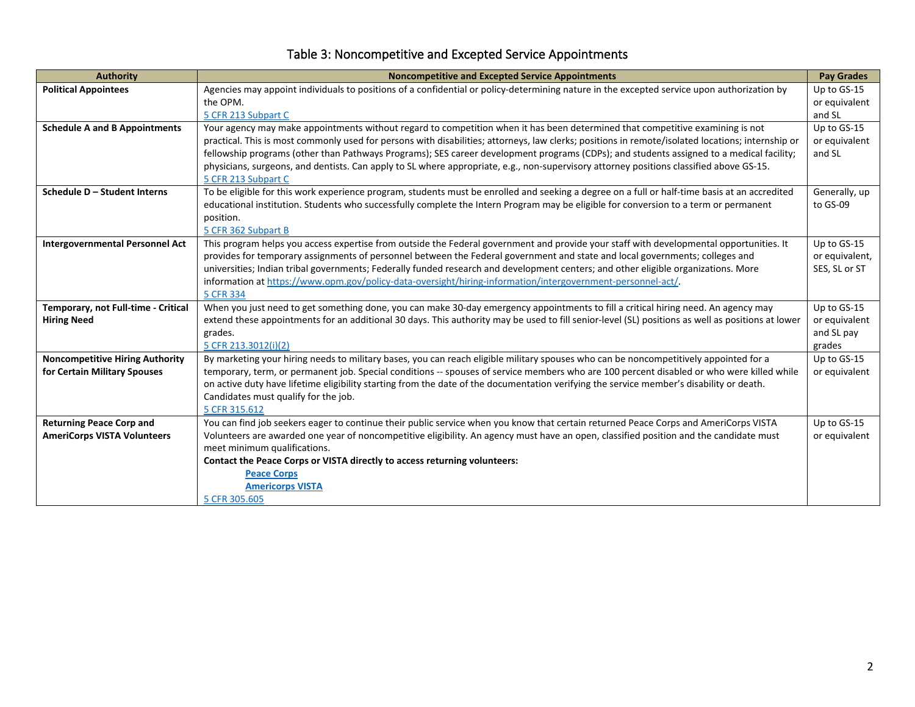| Table 3: Noncompetitive and Excepted Service Appointments |
|-----------------------------------------------------------|
|-----------------------------------------------------------|

| <b>Authority</b>                       | <b>Noncompetitive and Excepted Service Appointments</b>                                                                                                                                                                                                                               | <b>Pay Grades</b>         |
|----------------------------------------|---------------------------------------------------------------------------------------------------------------------------------------------------------------------------------------------------------------------------------------------------------------------------------------|---------------------------|
| <b>Political Appointees</b>            | Agencies may appoint individuals to positions of a confidential or policy-determining nature in the excepted service upon authorization by                                                                                                                                            | Up to GS-15               |
|                                        | the OPM.                                                                                                                                                                                                                                                                              | or equivalent             |
|                                        | 5 CFR 213 Subpart C                                                                                                                                                                                                                                                                   | and SL                    |
| <b>Schedule A and B Appointments</b>   | Your agency may make appointments without regard to competition when it has been determined that competitive examining is not                                                                                                                                                         | Up to GS-15               |
|                                        | practical. This is most commonly used for persons with disabilities; attorneys, law clerks; positions in remote/isolated locations; internship or                                                                                                                                     | or equivalent             |
|                                        | fellowship programs (other than Pathways Programs); SES career development programs (CDPs); and students assigned to a medical facility;                                                                                                                                              | and SL                    |
|                                        | physicians, surgeons, and dentists. Can apply to SL where appropriate, e.g., non-supervisory attorney positions classified above GS-15.                                                                                                                                               |                           |
| Schedule D - Student Interns           | 5 CFR 213 Subpart C                                                                                                                                                                                                                                                                   |                           |
|                                        | To be eligible for this work experience program, students must be enrolled and seeking a degree on a full or half-time basis at an accredited<br>educational institution. Students who successfully complete the Intern Program may be eligible for conversion to a term or permanent | Generally, up<br>to GS-09 |
|                                        | position.                                                                                                                                                                                                                                                                             |                           |
|                                        | 5 CFR 362 Subpart B                                                                                                                                                                                                                                                                   |                           |
| <b>Intergovernmental Personnel Act</b> | This program helps you access expertise from outside the Federal government and provide your staff with developmental opportunities. It                                                                                                                                               | Up to GS-15               |
|                                        | provides for temporary assignments of personnel between the Federal government and state and local governments; colleges and                                                                                                                                                          | or equivalent,            |
|                                        | universities; Indian tribal governments; Federally funded research and development centers; and other eligible organizations. More                                                                                                                                                    | SES, SL or ST             |
|                                        | information at https://www.opm.gov/policy-data-oversight/hiring-information/intergovernment-personnel-act/.                                                                                                                                                                           |                           |
|                                        | 5 CFR 334                                                                                                                                                                                                                                                                             |                           |
| Temporary, not Full-time - Critical    | When you just need to get something done, you can make 30-day emergency appointments to fill a critical hiring need. An agency may                                                                                                                                                    | Up to GS-15               |
| <b>Hiring Need</b>                     | extend these appointments for an additional 30 days. This authority may be used to fill senior-level (SL) positions as well as positions at lower                                                                                                                                     | or equivalent             |
|                                        | grades.                                                                                                                                                                                                                                                                               | and SL pay                |
|                                        | 5 CFR 213.3012(i)(2)                                                                                                                                                                                                                                                                  | grades                    |
| <b>Noncompetitive Hiring Authority</b> | By marketing your hiring needs to military bases, you can reach eligible military spouses who can be noncompetitively appointed for a                                                                                                                                                 | Up to GS-15               |
| for Certain Military Spouses           | temporary, term, or permanent job. Special conditions -- spouses of service members who are 100 percent disabled or who were killed while<br>on active duty have lifetime eligibility starting from the date of the documentation verifying the service member's disability or death. | or equivalent             |
|                                        | Candidates must qualify for the job.                                                                                                                                                                                                                                                  |                           |
|                                        | 5 CFR 315.612                                                                                                                                                                                                                                                                         |                           |
| <b>Returning Peace Corp and</b>        | You can find job seekers eager to continue their public service when you know that certain returned Peace Corps and AmeriCorps VISTA                                                                                                                                                  | Up to GS-15               |
| <b>AmeriCorps VISTA Volunteers</b>     | Volunteers are awarded one year of noncompetitive eligibility. An agency must have an open, classified position and the candidate must                                                                                                                                                | or equivalent             |
|                                        | meet minimum qualifications.                                                                                                                                                                                                                                                          |                           |
|                                        | Contact the Peace Corps or VISTA directly to access returning volunteers:                                                                                                                                                                                                             |                           |
|                                        | <b>Peace Corps</b>                                                                                                                                                                                                                                                                    |                           |
|                                        | <b>Americorps VISTA</b>                                                                                                                                                                                                                                                               |                           |
|                                        | 5 CFR 305.605                                                                                                                                                                                                                                                                         |                           |